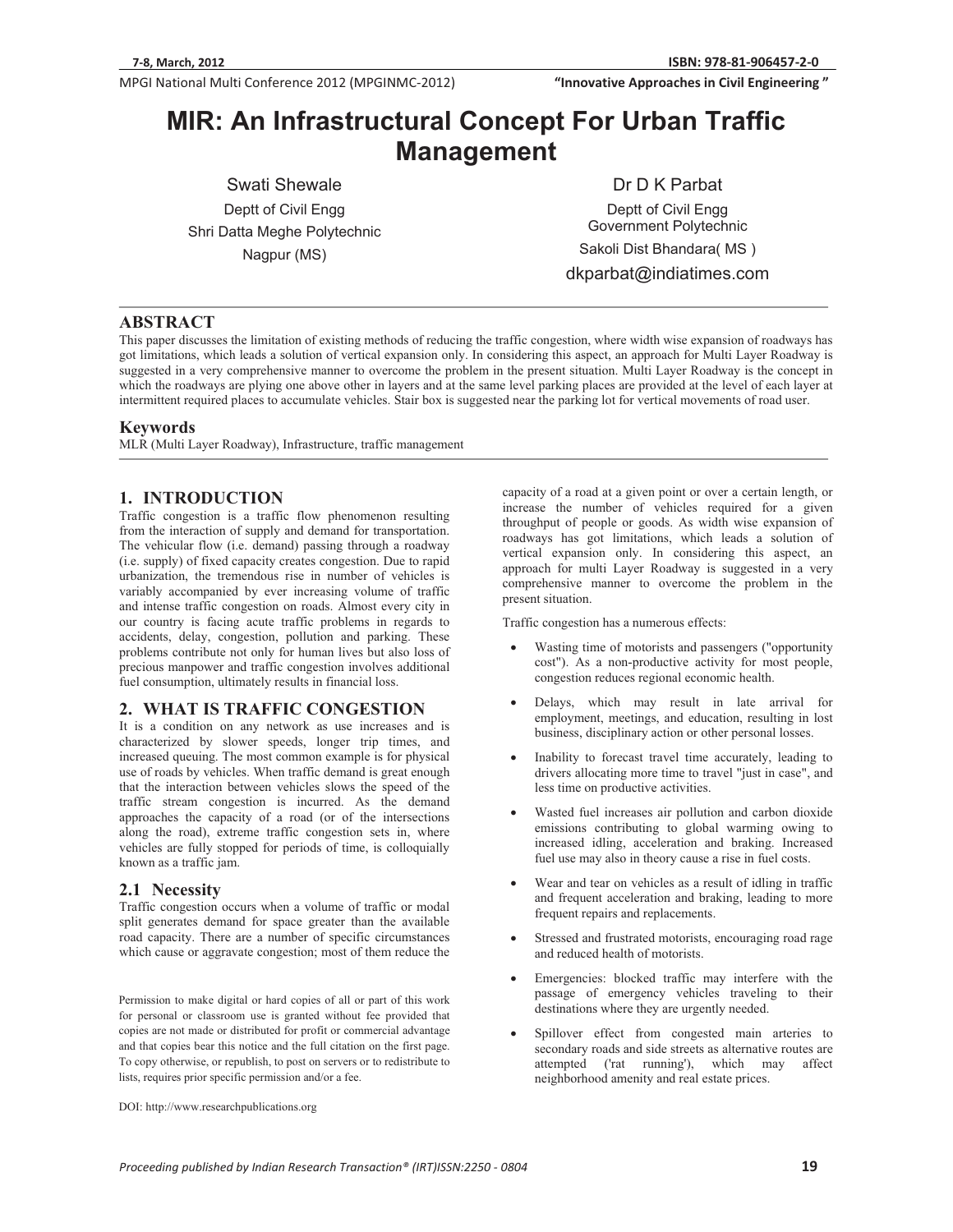**MPGI National Multi Conference 2012 (MPGINMC-2012) <b>The Conference of City Conference 2012** (MPGINMC-2012) **The Conference of City Conference 2012** (MPGINMC-2012)

**We are the Civil Engineering**<br> **812-11 Civil Engineering "InnovativeApproachesinCivilEngineering"**

# **MIR: An Infrastructural Concept For Urban Traffic Management**

Swati Shewale Deptt of Civil Engg Shri Datta Meghe Polytechnic Nagpur (MS)

Dr D K Parbat Deptt of Civil Engg Government Polytechnic Sakoli Dist Bhandara( MS ) dkparbat@indiatimes.com

#### **ABSTRACT**

This paper discusses the limitation of existing methods of reducing the traffic congestion, where width wise expansion of roadways has got limitations, which leads a solution of vertical expansion only. In considering this aspect, an approach for Multi Layer Roadway is suggested in a very comprehensive manner to overcome the problem in the present situation. Multi Layer Roadway is the concept in which the roadways are plying one above other in layers and at the same level parking places are provided at the level of each layer at intermittent required places to accumulate vehicles. Stair box is suggested near the parking lot for vertical movements of road user.

#### **Keywords**

MLR (Multi Layer Roadway), Infrastructure, traffic management

#### **1. INTRODUCTION**

Traffic congestion is a traffic flow phenomenon resulting from the interaction of supply and demand for transportation. The vehicular flow (i.e. demand) passing through a roadway (i.e. supply) of fixed capacity creates congestion. Due to rapid urbanization, the tremendous rise in number of vehicles is variably accompanied by ever increasing volume of traffic and intense traffic congestion on roads. Almost every city in our country is facing acute traffic problems in regards to accidents, delay, congestion, pollution and parking. These problems contribute not only for human lives but also loss of precious manpower and traffic congestion involves additional fuel consumption, ultimately results in financial loss.

#### **2. WHAT IS TRAFFIC CONGESTION**

It is a condition on any network as use increases and is characterized by slower speeds, longer trip times, and increased queuing. The most common example is for physical use of roads by vehicles. When traffic demand is great enough that the interaction between vehicles slows the speed of the traffic stream congestion is incurred. As the demand approaches the capacity of a road (or of the intersections along the road), extreme traffic congestion sets in, where vehicles are fully stopped for periods of time, is colloquially known as a traffic jam.

#### **2.1 Necessity**

Traffic congestion occurs when a volume of traffic or modal split generates demand for space greater than the available road capacity. There are a number of specific circumstances which cause or aggravate congestion; most of them reduce the

Permission to make digital or hard copies of all or part of this work for personal or classroom use is granted without fee provided that copies are not made or distributed for profit or commercial advantage and that copies bear this notice and the full citation on the first page. To copy otherwise, or republish, to post on servers or to redistribute to lists, requires prior specific permission and/or a fee.

DOI: http://www.researchpublications.org

capacity of a road at a given point or over a certain length, or increase the number of vehicles required for a given throughput of people or goods. As width wise expansion of roadways has got limitations, which leads a solution of vertical expansion only. In considering this aspect, an approach for multi Layer Roadway is suggested in a very comprehensive manner to overcome the problem in the present situation.

Traffic congestion has a numerous effects:

- - Wasting time of motorists and passengers ("opportunity cost"). As a non-productive activity for most people, congestion reduces regional economic health.
- - Delays, which may result in late arrival for employment, meetings, and education, resulting in lost business, disciplinary action or other personal losses.
- - Inability to forecast travel time accurately, leading to drivers allocating more time to travel "just in case", and less time on productive activities.
- - Wasted fuel increases air pollution and carbon dioxide emissions contributing to global warming owing to increased idling, acceleration and braking. Increased fuel use may also in theory cause a rise in fuel costs.
- - Wear and tear on vehicles as a result of idling in traffic and frequent acceleration and braking, leading to more frequent repairs and replacements.
- - Stressed and frustrated motorists, encouraging road rage and reduced health of motorists.
- - Emergencies: blocked traffic may interfere with the passage of emergency vehicles traveling to their destinations where they are urgently needed.
- - Spillover effect from congested main arteries to secondary roads and side streets as alternative routes are attempted ('rat running'), which may affect neighborhood amenity and real estate prices.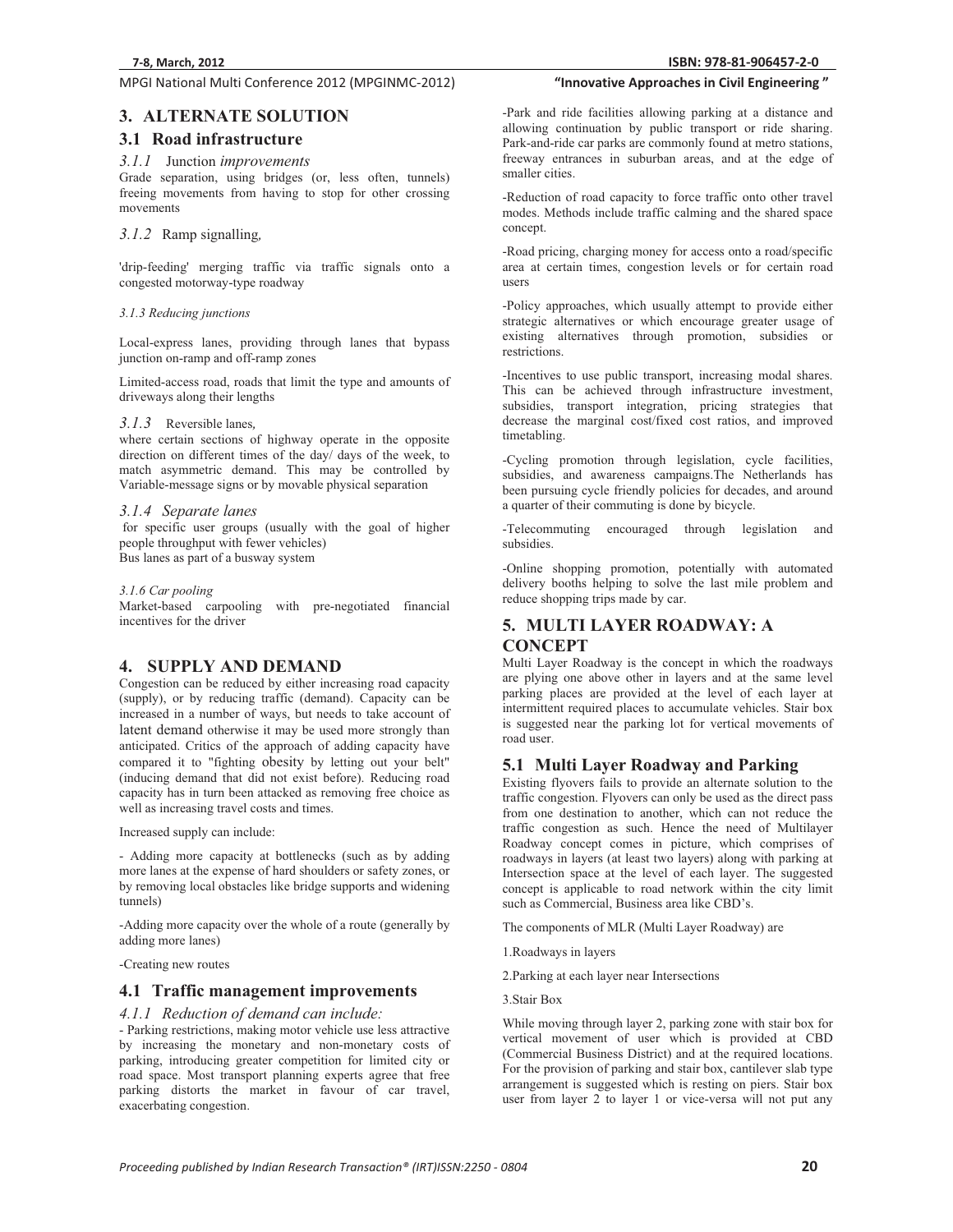### **MPGI National Multi Conference 2012 (MPGINMC-2012) <b>The Conference of City Conference 2012** (MPGINMC-2012) **The Conference of City Conference 2012** (MPGINMC-2012)

## **81-906457-2-0**

**"InnovativeApproachesinCivilEngineering"**

### **3. ALTERNATE SOLUTION**

#### **3.1 Road infrastructure**

#### *3.1.1* Junction *improvements*

Grade separation, using bridges (or, less often, tunnels) freeing movements from having to stop for other crossing movements

#### *3.1.2* Ramp signalling*,*

'drip-feeding' merging traffic via traffic signals onto a congested motorway-type roadway

#### *3.1.3 Reducing junctions*

Local-express lanes, providing through lanes that bypass junction on-ramp and off-ramp zones

Limited-access road, roads that limit the type and amounts of driveways along their lengths

#### *3.1.3* Reversible lanes*,*

where certain sections of highway operate in the opposite direction on different times of the day/ days of the week, to match asymmetric demand. This may be controlled by Variable-message signs or by movable physical separation

#### *3.1.4 Separate lanes*

 for specific user groups (usually with the goal of higher people throughput with fewer vehicles) Bus lanes as part of a busway system

#### *3.1.6 Car pooling*

Market-based carpooling with pre-negotiated financial incentives for the driver

#### **4. SUPPLY AND DEMAND**

Congestion can be reduced by either increasing road capacity (supply), or by reducing traffic (demand). Capacity can be increased in a number of ways, but needs to take account of latent demand otherwise it may be used more strongly than anticipated. Critics of the approach of adding capacity have compared it to "fighting obesity by letting out your belt" (inducing demand that did not exist before). Reducing road capacity has in turn been attacked as removing free choice as well as increasing travel costs and times.

Increased supply can include:

- Adding more capacity at bottlenecks (such as by adding more lanes at the expense of hard shoulders or safety zones, or by removing local obstacles like bridge supports and widening tunnels)

-Adding more capacity over the whole of a route (generally by adding more lanes)

-Creating new routes

#### **4.1 Traffic management improvements**

#### *4.1.1 Reduction of demand can include:*

- Parking restrictions, making motor vehicle use less attractive by increasing the monetary and non-monetary costs of parking, introducing greater competition for limited city or road space. Most transport planning experts agree that free parking distorts the market in favour of car travel, exacerbating congestion.

-Park and ride facilities allowing parking at a distance and allowing continuation by public transport or ride sharing. Park-and-ride car parks are commonly found at metro stations, freeway entrances in suburban areas, and at the edge of smaller cities.

-Reduction of road capacity to force traffic onto other travel modes. Methods include traffic calming and the shared space concept.

-Road pricing, charging money for access onto a road/specific area at certain times, congestion levels or for certain road users

-Policy approaches, which usually attempt to provide either strategic alternatives or which encourage greater usage of existing alternatives through promotion, subsidies or restrictions.

-Incentives to use public transport, increasing modal shares. This can be achieved through infrastructure investment, subsidies, transport integration, pricing strategies that decrease the marginal cost/fixed cost ratios, and improved timetabling.

-Cycling promotion through legislation, cycle facilities, subsidies, and awareness campaigns.The Netherlands has been pursuing cycle friendly policies for decades, and around a quarter of their commuting is done by bicycle.

-Telecommuting encouraged through legislation and subsidies.

-Online shopping promotion, potentially with automated delivery booths helping to solve the last mile problem and reduce shopping trips made by car.

### **5. MULTI LAYER ROADWAY: A CONCEPT**

Multi Layer Roadway is the concept in which the roadways are plying one above other in layers and at the same level parking places are provided at the level of each layer at intermittent required places to accumulate vehicles. Stair box is suggested near the parking lot for vertical movements of road user.

#### **5.1 Multi Layer Roadway and Parking**

Existing flyovers fails to provide an alternate solution to the traffic congestion. Flyovers can only be used as the direct pass from one destination to another, which can not reduce the traffic congestion as such. Hence the need of Multilayer Roadway concept comes in picture, which comprises of roadways in layers (at least two layers) along with parking at Intersection space at the level of each layer. The suggested concept is applicable to road network within the city limit such as Commercial, Business area like CBD's.

The components of MLR (Multi Layer Roadway) are

1.Roadways in layers

2.Parking at each layer near Intersections

3.Stair Box

While moving through layer 2, parking zone with stair box for vertical movement of user which is provided at CBD (Commercial Business District) and at the required locations. For the provision of parking and stair box, cantilever slab type arrangement is suggested which is resting on piers. Stair box user from layer 2 to layer 1 or vice-versa will not put any